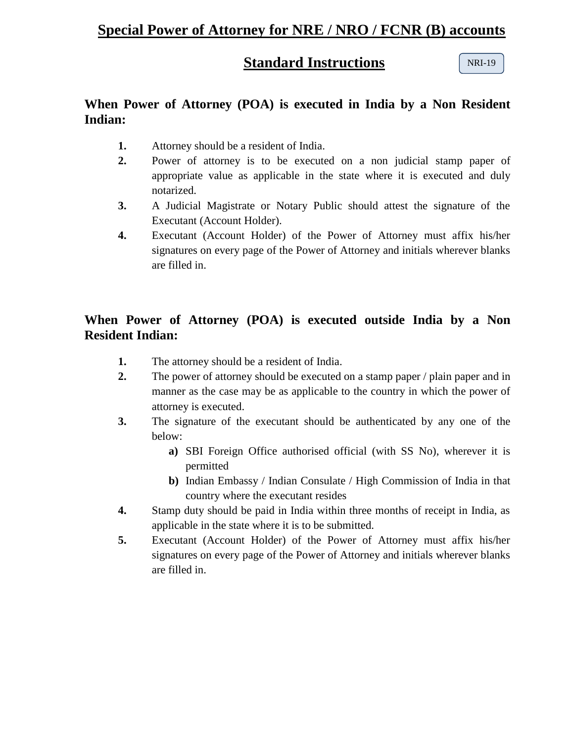## **Special Power of Attorney for NRE / NRO / FCNR (B) accounts**

#### **Standard Instructions**

NRI-19

### **When Power of Attorney (POA) is executed in India by a Non Resident Indian:**

- **1.** Attorney should be a resident of India.
- **2.** Power of attorney is to be executed on a non judicial stamp paper of appropriate value as applicable in the state where it is executed and duly notarized.
- **3.** A Judicial Magistrate or Notary Public should attest the signature of the Executant (Account Holder).
- **4.** Executant (Account Holder) of the Power of Attorney must affix his/her signatures on every page of the Power of Attorney and initials wherever blanks are filled in.

## **When Power of Attorney (POA) is executed outside India by a Non Resident Indian:**

- **1.** The attorney should be a resident of India.
- **2.** The power of attorney should be executed on a stamp paper / plain paper and in manner as the case may be as applicable to the country in which the power of attorney is executed.
- **3.** The signature of the executant should be authenticated by any one of the below:
	- **a)** SBI Foreign Office authorised official (with SS No), wherever it is permitted
	- **b)** Indian Embassy / Indian Consulate / High Commission of India in that country where the executant resides
- **4.** Stamp duty should be paid in India within three months of receipt in India, as applicable in the state where it is to be submitted.
- **5.** Executant (Account Holder) of the Power of Attorney must affix his/her signatures on every page of the Power of Attorney and initials wherever blanks are filled in.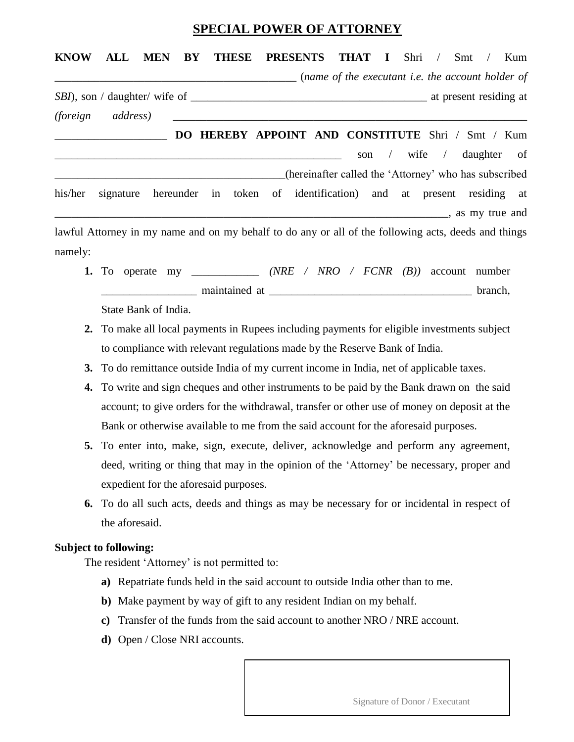#### **SPECIAL POWER OF ATTORNEY**

# **KNOW ALL MEN BY THESE PRESENTS THAT I** Shri / Smt / Kum \_\_\_\_\_\_\_\_\_\_\_\_\_\_\_\_\_\_\_\_\_\_\_\_\_\_\_\_\_\_\_\_\_\_\_\_\_\_\_\_\_\_\_ (*name of the executant i.e. the account holder of SBI*), son / daughter/ wife of \_\_\_\_\_\_\_\_\_\_\_\_\_\_\_\_\_\_\_\_\_\_\_\_\_\_\_\_\_\_\_\_\_\_\_\_\_\_\_\_\_\_ at present residing at *(foreign address)* \_\_\_\_\_\_\_\_\_\_\_\_\_\_\_\_\_\_\_\_\_\_\_\_\_\_\_\_\_\_\_\_\_\_\_\_\_\_\_\_\_\_\_\_\_\_\_\_\_\_\_\_\_\_\_\_\_\_\_\_\_\_\_ \_\_\_\_\_\_\_\_\_\_\_\_\_\_\_\_\_\_\_\_ **DO HEREBY APPOINT AND CONSTITUTE** Shri / Smt / Kum son / wife / daughter of \_\_\_\_\_\_\_\_\_\_\_\_\_\_\_\_\_\_\_\_\_\_\_\_\_\_\_\_\_\_\_\_\_\_\_\_\_\_\_\_\_(hereinafter called the 'Attorney' who has subscribed his/her signature hereunder in token of identification) and at present residing at \_\_\_\_\_\_\_\_\_\_\_\_\_\_\_\_\_\_\_\_\_\_\_\_\_\_\_\_\_\_\_\_\_\_\_\_\_\_\_\_\_\_\_\_\_\_\_\_\_\_\_\_\_\_\_\_\_\_\_\_\_\_\_\_\_\_\_\_\_\_, as my true and lawful Attorney in my name and on my behalf to do any or all of the following acts, deeds and things

namely:

- **1.** To operate my \_\_\_\_\_\_\_\_\_\_\_\_ *(NRE / NRO / FCNR (B))* account number maintained at the branch, State Bank of India.
- **2.** To make all local payments in Rupees including payments for eligible investments subject to compliance with relevant regulations made by the Reserve Bank of India.
- **3.** To do remittance outside India of my current income in India, net of applicable taxes.
- **4.** To write and sign cheques and other instruments to be paid by the Bank drawn on the said account; to give orders for the withdrawal, transfer or other use of money on deposit at the Bank or otherwise available to me from the said account for the aforesaid purposes.
- **5.** To enter into, make, sign, execute, deliver, acknowledge and perform any agreement, deed, writing or thing that may in the opinion of the 'Attorney' be necessary, proper and expedient for the aforesaid purposes.
- **6.** To do all such acts, deeds and things as may be necessary for or incidental in respect of the aforesaid.

#### **Subject to following:**

The resident 'Attorney' is not permitted to:

- **a)** Repatriate funds held in the said account to outside India other than to me.
- **b)** Make payment by way of gift to any resident Indian on my behalf.
- **c)** Transfer of the funds from the said account to another NRO / NRE account.
- **d)** Open / Close NRI accounts.

Signature of Donor / Executant